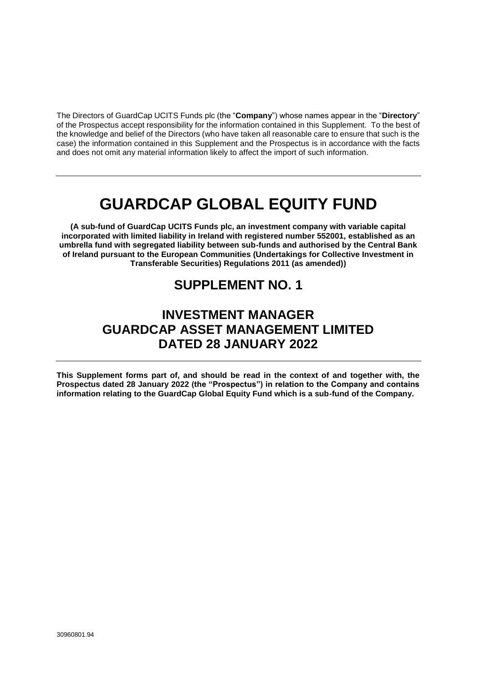The Directors of GuardCap UCITS Funds plc (the "**Company**") whose names appear in the "**Directory**" of the Prospectus accept responsibility for the information contained in this Supplement. To the best of the knowledge and belief of the Directors (who have taken all reasonable care to ensure that such is the case) the information contained in this Supplement and the Prospectus is in accordance with the facts and does not omit any material information likely to affect the import of such information.

# **GUARDCAP GLOBAL EQUITY FUND**

**(A sub-fund of GuardCap UCITS Funds plc, an investment company with variable capital incorporated with limited liability in Ireland with registered number 552001, established as an umbrella fund with segregated liability between sub-funds and authorised by the Central Bank of Ireland pursuant to the European Communities (Undertakings for Collective Investment in Transferable Securities) Regulations 2011 (as amended))**

# **SUPPLEMENT NO. 1**

# **INVESTMENT MANAGER GUARDCAP ASSET MANAGEMENT LIMITED DATED 28 JANUARY 2022**

**This Supplement forms part of, and should be read in the context of and together with, the Prospectus dated 28 January 2022 (the "Prospectus") in relation to the Company and contains information relating to the GuardCap Global Equity Fund which is a sub-fund of the Company.**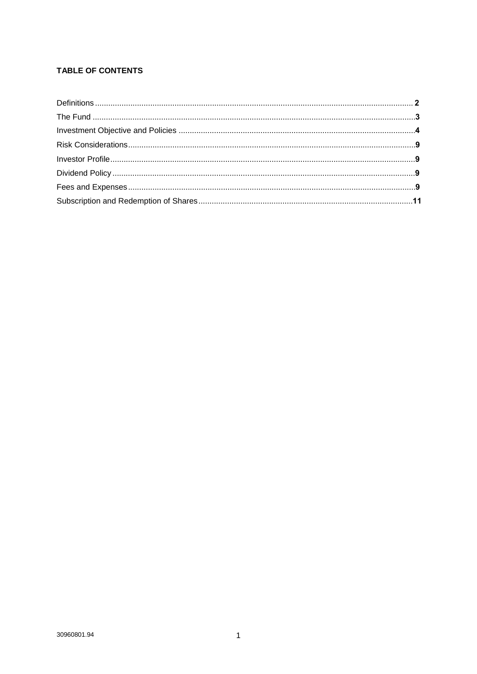# **TABLE OF CONTENTS**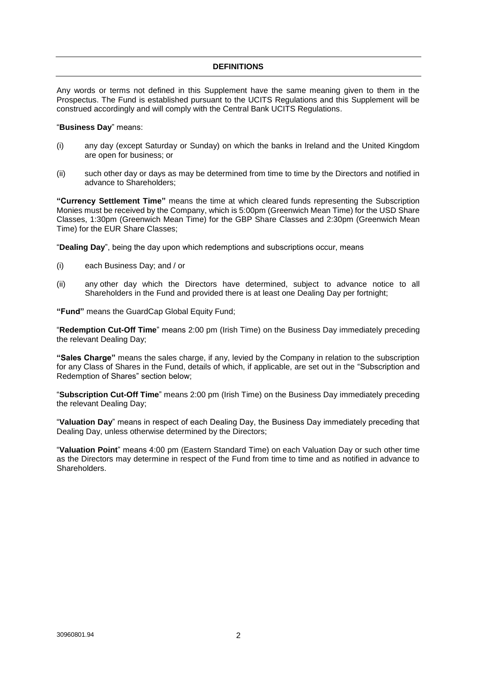# **DEFINITIONS**

Any words or terms not defined in this Supplement have the same meaning given to them in the Prospectus. The Fund is established pursuant to the UCITS Regulations and this Supplement will be construed accordingly and will comply with the Central Bank UCITS Regulations.

#### "**Business Day**" means:

- (i) any day (except Saturday or Sunday) on which the banks in Ireland and the United Kingdom are open for business; or
- (ii) such other day or days as may be determined from time to time by the Directors and notified in advance to Shareholders;

**"Currency Settlement Time"** means the time at which cleared funds representing the Subscription Monies must be received by the Company, which is 5:00pm (Greenwich Mean Time) for the USD Share Classes, 1:30pm (Greenwich Mean Time) for the GBP Share Classes and 2:30pm (Greenwich Mean Time) for the EUR Share Classes;

"**Dealing Day**", being the day upon which redemptions and subscriptions occur, means

- (i) each Business Day; and / or
- (ii) any other day which the Directors have determined, subject to advance notice to all Shareholders in the Fund and provided there is at least one Dealing Day per fortnight;

**"Fund"** means the GuardCap Global Equity Fund;

"**Redemption Cut-Off Time**" means 2:00 pm (Irish Time) on the Business Day immediately preceding the relevant Dealing Day;

**"Sales Charge"** means the sales charge, if any, levied by the Company in relation to the subscription for any Class of Shares in the Fund, details of which, if applicable, are set out in the "Subscription and Redemption of Shares" section below;

"**Subscription Cut-Off Time**" means 2:00 pm (Irish Time) on the Business Day immediately preceding the relevant Dealing Day;

"**Valuation Day**" means in respect of each Dealing Day, the Business Day immediately preceding that Dealing Day, unless otherwise determined by the Directors;

"**Valuation Point**" means 4:00 pm (Eastern Standard Time) on each Valuation Day or such other time as the Directors may determine in respect of the Fund from time to time and as notified in advance to Shareholders.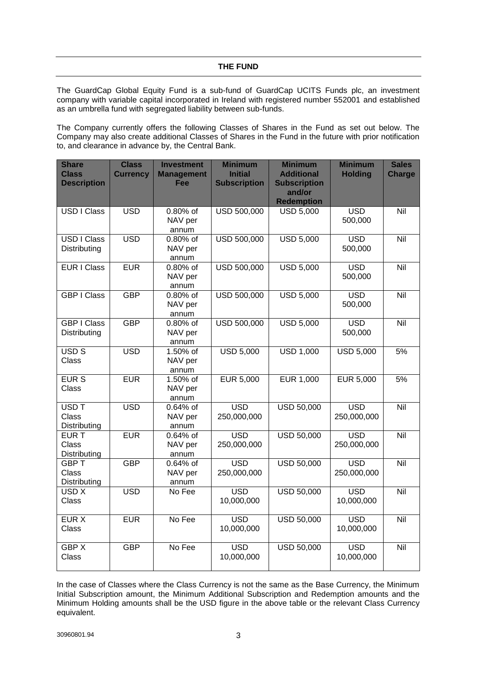The GuardCap Global Equity Fund is a sub-fund of GuardCap UCITS Funds plc, an investment company with variable capital incorporated in Ireland with registered number 552001 and established as an umbrella fund with segregated liability between sub-funds.

The Company currently offers the following Classes of Shares in the Fund as set out below. The Company may also create additional Classes of Shares in the Fund in the future with prior notification to, and clearance in advance by, the Central Bank.

| <b>Share</b><br><b>Class</b><br><b>Description</b> | <b>Class</b><br><b>Currency</b> | <b>Investment</b><br><b>Management</b><br>Fee | <b>Minimum</b><br><b>Initial</b><br><b>Subscription</b> | <b>Minimum</b><br><b>Additional</b><br><b>Subscription</b><br>and/or<br><b>Redemption</b> | <b>Minimum</b><br><b>Holding</b> | <b>Sales</b><br><b>Charge</b> |
|----------------------------------------------------|---------------------------------|-----------------------------------------------|---------------------------------------------------------|-------------------------------------------------------------------------------------------|----------------------------------|-------------------------------|
| USD I Class                                        | <b>USD</b>                      | 0.80% of<br>NAV per<br>annum                  | USD 500,000                                             | <b>USD 5,000</b>                                                                          | <b>USD</b><br>500,000            | Nil                           |
| <b>USD I Class</b><br>Distributing                 | <b>USD</b>                      | 0.80% of<br>NAV per<br>annum                  | USD 500,000                                             | <b>USD 5,000</b>                                                                          | <b>USD</b><br>500,000            | Nil                           |
| <b>EUR I Class</b>                                 | <b>EUR</b>                      | 0.80% of<br>NAV per<br>annum                  | USD 500,000                                             | <b>USD 5,000</b>                                                                          | <b>USD</b><br>500,000            | $\overline{N}$ il             |
| <b>GBP I Class</b>                                 | <b>GBP</b>                      | 0.80% of<br>NAV per<br>annum                  | USD 500,000                                             | <b>USD 5,000</b>                                                                          | <b>USD</b><br>500,000            | Nil                           |
| <b>GBP I Class</b><br>Distributing                 | <b>GBP</b>                      | $0.80\%$ of<br>NAV per<br>annum               | USD 500,000                                             | <b>USD 5,000</b>                                                                          | <b>USD</b><br>500,000            | Nil                           |
| USD <sub>S</sub><br>Class                          | <b>USD</b>                      | 1.50% of<br>NAV per<br>annum                  | <b>USD 5,000</b>                                        | <b>USD 1,000</b>                                                                          | <b>USD 5,000</b>                 | 5%                            |
| <b>EURS</b><br>Class                               | <b>EUR</b>                      | 1.50% of<br>NAV per<br>annum                  | <b>EUR 5,000</b>                                        | <b>EUR 1,000</b>                                                                          | <b>EUR 5,000</b>                 | 5%                            |
| USD <sub>T</sub><br>Class<br>Distributing          | <b>USD</b>                      | 0.64% of<br>NAV per<br>annum                  | $\overline{USD}$<br>250,000,000                         | <b>USD 50,000</b>                                                                         | $\overline{USD}$<br>250,000,000  | Nil                           |
| <b>EURT</b><br><b>Class</b><br>Distributing        | <b>EUR</b>                      | 0.64% of<br>NAV per<br>annum                  | <b>USD</b><br>250,000,000                               | <b>USD 50,000</b>                                                                         | <b>USD</b><br>250,000,000        | Nil                           |
| <b>GBPT</b><br>Class<br>Distributing               | <b>GBP</b>                      | 0.64% of<br>NAV per<br>annum                  | <b>USD</b><br>250,000,000                               | <b>USD 50,000</b>                                                                         | <b>USD</b><br>250,000,000        | Nil                           |
| USD X<br>Class                                     | <b>USD</b>                      | No Fee                                        | <b>USD</b><br>10,000,000                                | USD 50,000                                                                                | <b>USD</b><br>10,000,000         | Nil                           |
| <b>EUR X</b><br>Class                              | <b>EUR</b>                      | No Fee                                        | <b>USD</b><br>10,000,000                                | USD 50,000                                                                                | <b>USD</b><br>10,000,000         | Nil                           |
| <b>GBPX</b><br>Class                               | <b>GBP</b>                      | No Fee                                        | <b>USD</b><br>10,000,000                                | <b>USD 50,000</b>                                                                         | <b>USD</b><br>10,000,000         | Nil                           |

In the case of Classes where the Class Currency is not the same as the Base Currency, the Minimum Initial Subscription amount, the Minimum Additional Subscription and Redemption amounts and the Minimum Holding amounts shall be the USD figure in the above table or the relevant Class Currency equivalent.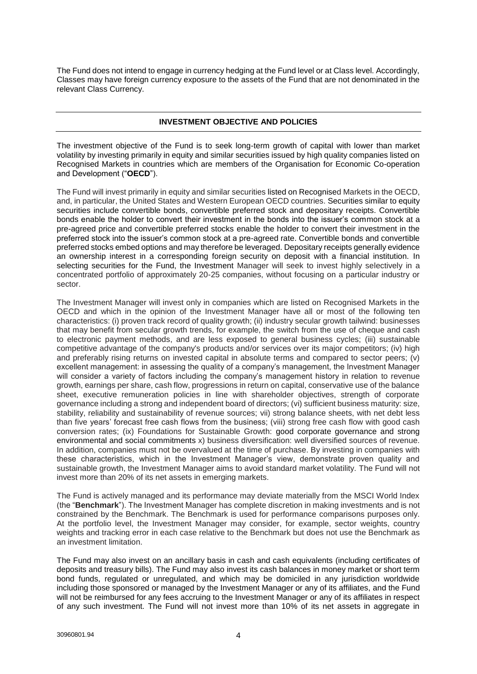The Fund does not intend to engage in currency hedging at the Fund level or at Class level. Accordingly, Classes may have foreign currency exposure to the assets of the Fund that are not denominated in the relevant Class Currency.

# **INVESTMENT OBJECTIVE AND POLICIES**

The investment objective of the Fund is to seek long-term growth of capital with lower than market volatility by investing primarily in equity and similar securities issued by high quality companies listed on Recognised Markets in countries which are members of the Organisation for Economic Co-operation and Development ("**OECD**").

The Fund will invest primarily in equity and similar securities listed on Recognised Markets in the OECD, and, in particular, the United States and Western European OECD countries. Securities similar to equity securities include convertible bonds, convertible preferred stock and depositary receipts. Convertible bonds enable the holder to convert their investment in the bonds into the issuer's common stock at a pre-agreed price and convertible preferred stocks enable the holder to convert their investment in the preferred stock into the issuer's common stock at a pre-agreed rate. Convertible bonds and convertible preferred stocks embed options and may therefore be leveraged. Depositary receipts generally evidence an ownership interest in a corresponding foreign security on deposit with a financial institution. In selecting securities for the Fund, the Investment Manager will seek to invest highly selectively in a concentrated portfolio of approximately 20-25 companies, without focusing on a particular industry or sector.

The Investment Manager will invest only in companies which are listed on Recognised Markets in the OECD and which in the opinion of the Investment Manager have all or most of the following ten characteristics: (i) proven track record of quality growth; (ii) industry secular growth tailwind: businesses that may benefit from secular growth trends, for example, the switch from the use of cheque and cash to electronic payment methods, and are less exposed to general business cycles; (iii) sustainable competitive advantage of the company's products and/or services over its major competitors; (iv) high and preferably rising returns on invested capital in absolute terms and compared to sector peers; (v) excellent management: in assessing the quality of a company's management, the Investment Manager will consider a variety of factors including the company's management history in relation to revenue growth, earnings per share, cash flow, progressions in return on capital, conservative use of the balance sheet, executive remuneration policies in line with shareholder objectives, strength of corporate governance including a strong and independent board of directors; (vi) sufficient business maturity: size, stability, reliability and sustainability of revenue sources; vii) strong balance sheets, with net debt less than five years' forecast free cash flows from the business; (viii) strong free cash flow with good cash conversion rates; (ix) Foundations for Sustainable Growth: good corporate governance and strong environmental and social commitments x) business diversification: well diversified sources of revenue. In addition, companies must not be overvalued at the time of purchase. By investing in companies with these characteristics, which in the Investment Manager's view, demonstrate proven quality and sustainable growth, the Investment Manager aims to avoid standard market volatility. The Fund will not invest more than 20% of its net assets in emerging markets.

The Fund is actively managed and its performance may deviate materially from the MSCI World Index (the "**Benchmark**"). The Investment Manager has complete discretion in making investments and is not constrained by the Benchmark. The Benchmark is used for performance comparisons purposes only. At the portfolio level, the Investment Manager may consider, for example, sector weights, country weights and tracking error in each case relative to the Benchmark but does not use the Benchmark as an investment limitation.

The Fund may also invest on an ancillary basis in cash and cash equivalents (including certificates of deposits and treasury bills). The Fund may also invest its cash balances in money market or short term bond funds, regulated or unregulated, and which may be domiciled in any jurisdiction worldwide including those sponsored or managed by the Investment Manager or any of its affiliates, and the Fund will not be reimbursed for any fees accruing to the Investment Manager or any of its affiliates in respect of any such investment. The Fund will not invest more than 10% of its net assets in aggregate in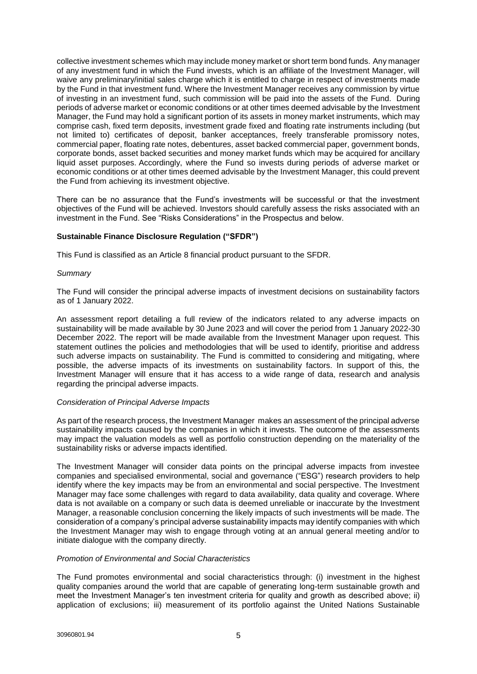collective investment schemes which may include money market or short term bond funds. Any manager of any investment fund in which the Fund invests, which is an affiliate of the Investment Manager, will waive any preliminary/initial sales charge which it is entitled to charge in respect of investments made by the Fund in that investment fund. Where the Investment Manager receives any commission by virtue of investing in an investment fund, such commission will be paid into the assets of the Fund. During periods of adverse market or economic conditions or at other times deemed advisable by the Investment Manager, the Fund may hold a significant portion of its assets in money market instruments, which may comprise cash, fixed term deposits, investment grade fixed and floating rate instruments including (but not limited to) certificates of deposit, banker acceptances, freely transferable promissory notes, commercial paper, floating rate notes, debentures, asset backed commercial paper, government bonds, corporate bonds, asset backed securities and money market funds which may be acquired for ancillary liquid asset purposes. Accordingly, where the Fund so invests during periods of adverse market or economic conditions or at other times deemed advisable by the Investment Manager, this could prevent the Fund from achieving its investment objective.

There can be no assurance that the Fund's investments will be successful or that the investment objectives of the Fund will be achieved. Investors should carefully assess the risks associated with an investment in the Fund. See "Risks Considerations" in the Prospectus and below.

# **Sustainable Finance Disclosure Regulation ("SFDR")**

This Fund is classified as an Article 8 financial product pursuant to the SFDR.

#### *Summary*

The Fund will consider the principal adverse impacts of investment decisions on sustainability factors as of 1 January 2022.

An assessment report detailing a full review of the indicators related to any adverse impacts on sustainability will be made available by 30 June 2023 and will cover the period from 1 January 2022-30 December 2022. The report will be made available from the Investment Manager upon request. This statement outlines the policies and methodologies that will be used to identify, prioritise and address such adverse impacts on sustainability. The Fund is committed to considering and mitigating, where possible, the adverse impacts of its investments on sustainability factors. In support of this, the Investment Manager will ensure that it has access to a wide range of data, research and analysis regarding the principal adverse impacts.

#### *Consideration of Principal Adverse Impacts*

As part of the research process, the Investment Manager makes an assessment of the principal adverse sustainability impacts caused by the companies in which it invests. The outcome of the assessments may impact the valuation models as well as portfolio construction depending on the materiality of the sustainability risks or adverse impacts identified.

The Investment Manager will consider data points on the principal adverse impacts from investee companies and specialised environmental, social and governance ("ESG") research providers to help identify where the key impacts may be from an environmental and social perspective. The Investment Manager may face some challenges with regard to data availability, data quality and coverage. Where data is not available on a company or such data is deemed unreliable or inaccurate by the Investment Manager, a reasonable conclusion concerning the likely impacts of such investments will be made. The consideration of a company's principal adverse sustainability impacts may identify companies with which the Investment Manager may wish to engage through voting at an annual general meeting and/or to initiate dialogue with the company directly.

#### *Promotion of Environmental and Social Characteristics*

The Fund promotes environmental and social characteristics through: (i) investment in the highest quality companies around the world that are capable of generating long-term sustainable growth and meet the Investment Manager's ten investment criteria for quality and growth as described above; ii) application of exclusions; iii) measurement of its portfolio against the United Nations Sustainable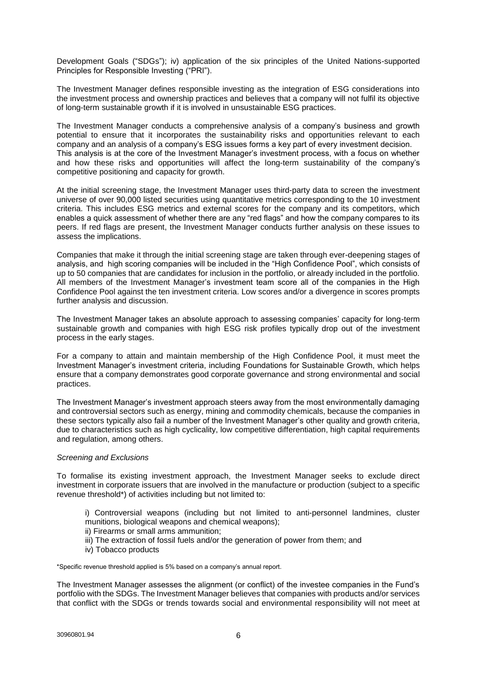Development Goals ("SDGs"); iv) application of the six principles of the United Nations-supported Principles for Responsible Investing ("PRI").

The Investment Manager defines responsible investing as the integration of ESG considerations into the investment process and ownership practices and believes that a company will not fulfil its objective of long-term sustainable growth if it is involved in unsustainable ESG practices.

The Investment Manager conducts a comprehensive analysis of a company's business and growth potential to ensure that it incorporates the sustainability risks and opportunities relevant to each company and an analysis of a company's ESG issues forms a key part of every investment decision. This analysis is at the core of the Investment Manager's investment process, with a focus on whether and how these risks and opportunities will affect the long-term sustainability of the company's competitive positioning and capacity for growth.

At the initial screening stage, the Investment Manager uses third-party data to screen the investment universe of over 90,000 listed securities using quantitative metrics corresponding to the 10 investment criteria. This includes ESG metrics and external scores for the company and its competitors, which enables a quick assessment of whether there are any "red flags" and how the company compares to its peers. If red flags are present, the Investment Manager conducts further analysis on these issues to assess the implications.

Companies that make it through the initial screening stage are taken through ever-deepening stages of analysis, and high scoring companies will be included in the "High Confidence Pool", which consists of up to 50 companies that are candidates for inclusion in the portfolio, or already included in the portfolio. All members of the Investment Manager's investment team score all of the companies in the High Confidence Pool against the ten investment criteria. Low scores and/or a divergence in scores prompts further analysis and discussion.

The Investment Manager takes an absolute approach to assessing companies' capacity for long-term sustainable growth and companies with high ESG risk profiles typically drop out of the investment process in the early stages.

For a company to attain and maintain membership of the High Confidence Pool, it must meet the Investment Manager's investment criteria, including Foundations for Sustainable Growth, which helps ensure that a company demonstrates good corporate governance and strong environmental and social practices.

The Investment Manager's investment approach steers away from the most environmentally damaging and controversial sectors such as energy, mining and commodity chemicals, because the companies in these sectors typically also fail a number of the Investment Manager's other quality and growth criteria, due to characteristics such as high cyclicality, low competitive differentiation, high capital requirements and regulation, among others.

#### *Screening and Exclusions*

To formalise its existing investment approach, the Investment Manager seeks to exclude direct investment in corporate issuers that are involved in the manufacture or production (subject to a specific revenue threshold\*) of activities including but not limited to:

i) Controversial weapons (including but not limited to anti-personnel landmines, cluster munitions, biological weapons and chemical weapons);

- ii) Firearms or small arms ammunition;
- iii) The extraction of fossil fuels and/or the generation of power from them; and
- iv) Tobacco products

\*Specific revenue threshold applied is 5% based on a company's annual report.

The Investment Manager assesses the alignment (or conflict) of the investee companies in the Fund's portfolio with the SDGs. The Investment Manager believes that companies with products and/or services that conflict with the SDGs or trends towards social and environmental responsibility will not meet at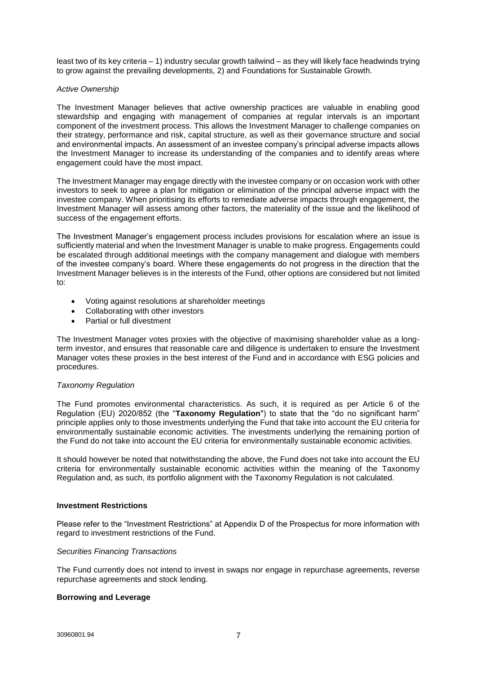least two of its key criteria – 1) industry secular growth tailwind – as they will likely face headwinds trying to grow against the prevailing developments, 2) and Foundations for Sustainable Growth.

#### *Active Ownership*

The Investment Manager believes that active ownership practices are valuable in enabling good stewardship and engaging with management of companies at regular intervals is an important component of the investment process. This allows the Investment Manager to challenge companies on their strategy, performance and risk, capital structure, as well as their governance structure and social and environmental impacts. An assessment of an investee company's principal adverse impacts allows the Investment Manager to increase its understanding of the companies and to identify areas where engagement could have the most impact.

The Investment Manager may engage directly with the investee company or on occasion work with other investors to seek to agree a plan for mitigation or elimination of the principal adverse impact with the investee company. When prioritising its efforts to remediate adverse impacts through engagement, the Investment Manager will assess among other factors, the materiality of the issue and the likelihood of success of the engagement efforts.

The Investment Manager's engagement process includes provisions for escalation where an issue is sufficiently material and when the Investment Manager is unable to make progress. Engagements could be escalated through additional meetings with the company management and dialogue with members of the investee company's board. Where these engagements do not progress in the direction that the Investment Manager believes is in the interests of the Fund, other options are considered but not limited to:

- Voting against resolutions at shareholder meetings
- Collaborating with other investors
- Partial or full divestment

The Investment Manager votes proxies with the objective of maximising shareholder value as a longterm investor, and ensures that reasonable care and diligence is undertaken to ensure the Investment Manager votes these proxies in the best interest of the Fund and in accordance with ESG policies and procedures.

#### *Taxonomy Regulation*

The Fund promotes environmental characteristics. As such, it is required as per Article 6 of the Regulation (EU) 2020/852 (the "**Taxonomy Regulation**") to state that the "do no significant harm" principle applies only to those investments underlying the Fund that take into account the EU criteria for environmentally sustainable economic activities. The investments underlying the remaining portion of the Fund do not take into account the EU criteria for environmentally sustainable economic activities.

It should however be noted that notwithstanding the above, the Fund does not take into account the EU criteria for environmentally sustainable economic activities within the meaning of the Taxonomy Regulation and, as such, its portfolio alignment with the Taxonomy Regulation is not calculated.

#### **Investment Restrictions**

Please refer to the "Investment Restrictions" at Appendix D of the Prospectus for more information with regard to investment restrictions of the Fund.

#### *Securities Financing Transactions*

The Fund currently does not intend to invest in swaps nor engage in repurchase agreements, reverse repurchase agreements and stock lending.

#### **Borrowing and Leverage**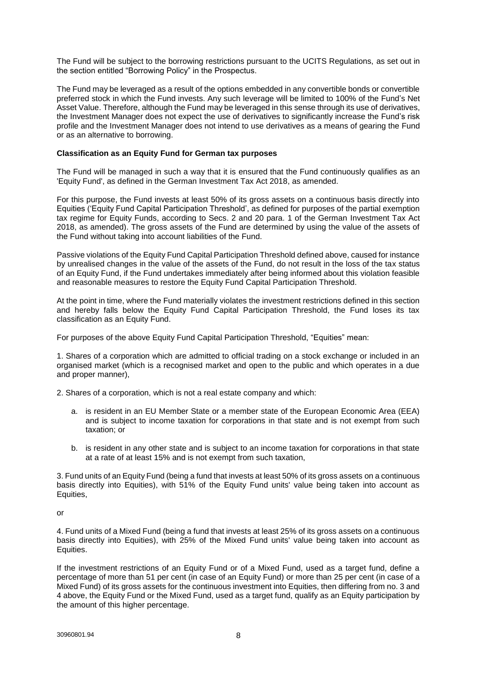The Fund will be subject to the borrowing restrictions pursuant to the UCITS Regulations, as set out in the section entitled "Borrowing Policy" in the Prospectus.

The Fund may be leveraged as a result of the options embedded in any convertible bonds or convertible preferred stock in which the Fund invests. Any such leverage will be limited to 100% of the Fund's Net Asset Value. Therefore, although the Fund may be leveraged in this sense through its use of derivatives, the Investment Manager does not expect the use of derivatives to significantly increase the Fund's risk profile and the Investment Manager does not intend to use derivatives as a means of gearing the Fund or as an alternative to borrowing.

# **Classification as an Equity Fund for German tax purposes**

The Fund will be managed in such a way that it is ensured that the Fund continuously qualifies as an 'Equity Fund', as defined in the German Investment Tax Act 2018, as amended.

For this purpose, the Fund invests at least 50% of its gross assets on a continuous basis directly into Equities ('Equity Fund Capital Participation Threshold', as defined for purposes of the partial exemption tax regime for Equity Funds, according to Secs. 2 and 20 para. 1 of the German Investment Tax Act 2018, as amended). The gross assets of the Fund are determined by using the value of the assets of the Fund without taking into account liabilities of the Fund.

Passive violations of the Equity Fund Capital Participation Threshold defined above, caused for instance by unrealised changes in the value of the assets of the Fund, do not result in the loss of the tax status of an Equity Fund, if the Fund undertakes immediately after being informed about this violation feasible and reasonable measures to restore the Equity Fund Capital Participation Threshold.

At the point in time, where the Fund materially violates the investment restrictions defined in this section and hereby falls below the Equity Fund Capital Participation Threshold, the Fund loses its tax classification as an Equity Fund.

For purposes of the above Equity Fund Capital Participation Threshold, "Equities" mean:

1. Shares of a corporation which are admitted to official trading on a stock exchange or included in an organised market (which is a recognised market and open to the public and which operates in a due and proper manner),

2. Shares of a corporation, which is not a real estate company and which:

- a. is resident in an EU Member State or a member state of the European Economic Area (EEA) and is subject to income taxation for corporations in that state and is not exempt from such taxation; or
- b. is resident in any other state and is subject to an income taxation for corporations in that state at a rate of at least 15% and is not exempt from such taxation,

3. Fund units of an Equity Fund (being a fund that invests at least 50% of its gross assets on a continuous basis directly into Equities), with 51% of the Equity Fund units' value being taken into account as Equities,

or

4. Fund units of a Mixed Fund (being a fund that invests at least 25% of its gross assets on a continuous basis directly into Equities), with 25% of the Mixed Fund units' value being taken into account as Equities.

If the investment restrictions of an Equity Fund or of a Mixed Fund, used as a target fund, define a percentage of more than 51 per cent (in case of an Equity Fund) or more than 25 per cent (in case of a Mixed Fund) of its gross assets for the continuous investment into Equities, then differing from no. 3 and 4 above, the Equity Fund or the Mixed Fund, used as a target fund, qualify as an Equity participation by the amount of this higher percentage.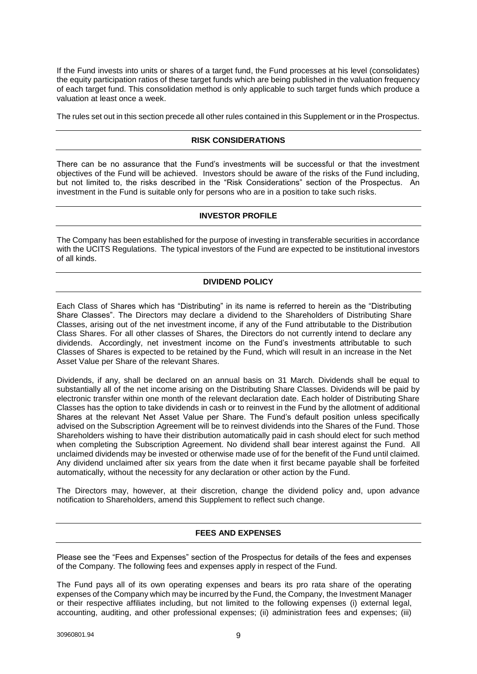If the Fund invests into units or shares of a target fund, the Fund processes at his level (consolidates) the equity participation ratios of these target funds which are being published in the valuation frequency of each target fund. This consolidation method is only applicable to such target funds which produce a valuation at least once a week.

The rules set out in this section precede all other rules contained in this Supplement or in the Prospectus.

# **RISK CONSIDERATIONS**

There can be no assurance that the Fund's investments will be successful or that the investment objectives of the Fund will be achieved. Investors should be aware of the risks of the Fund including, but not limited to, the risks described in the "Risk Considerations" section of the Prospectus. An investment in the Fund is suitable only for persons who are in a position to take such risks.

# **INVESTOR PROFILE**

The Company has been established for the purpose of investing in transferable securities in accordance with the UCITS Regulations. The typical investors of the Fund are expected to be institutional investors of all kinds.

# **DIVIDEND POLICY**

Each Class of Shares which has "Distributing" in its name is referred to herein as the "Distributing Share Classes". The Directors may declare a dividend to the Shareholders of Distributing Share Classes, arising out of the net investment income, if any of the Fund attributable to the Distribution Class Shares. For all other classes of Shares, the Directors do not currently intend to declare any dividends. Accordingly, net investment income on the Fund's investments attributable to such Classes of Shares is expected to be retained by the Fund, which will result in an increase in the Net Asset Value per Share of the relevant Shares.

Dividends, if any, shall be declared on an annual basis on 31 March. Dividends shall be equal to substantially all of the net income arising on the Distributing Share Classes. Dividends will be paid by electronic transfer within one month of the relevant declaration date. Each holder of Distributing Share Classes has the option to take dividends in cash or to reinvest in the Fund by the allotment of additional Shares at the relevant Net Asset Value per Share. The Fund's default position unless specifically advised on the Subscription Agreement will be to reinvest dividends into the Shares of the Fund. Those Shareholders wishing to have their distribution automatically paid in cash should elect for such method when completing the Subscription Agreement. No dividend shall bear interest against the Fund. All unclaimed dividends may be invested or otherwise made use of for the benefit of the Fund until claimed. Any dividend unclaimed after six years from the date when it first became payable shall be forfeited automatically, without the necessity for any declaration or other action by the Fund.

The Directors may, however, at their discretion, change the dividend policy and, upon advance notification to Shareholders, amend this Supplement to reflect such change.

# **FEES AND EXPENSES**

Please see the "Fees and Expenses" section of the Prospectus for details of the fees and expenses of the Company. The following fees and expenses apply in respect of the Fund.

The Fund pays all of its own operating expenses and bears its pro rata share of the operating expenses of the Company which may be incurred by the Fund, the Company, the Investment Manager or their respective affiliates including, but not limited to the following expenses (i) external legal, accounting, auditing, and other professional expenses; (ii) administration fees and expenses; (iii)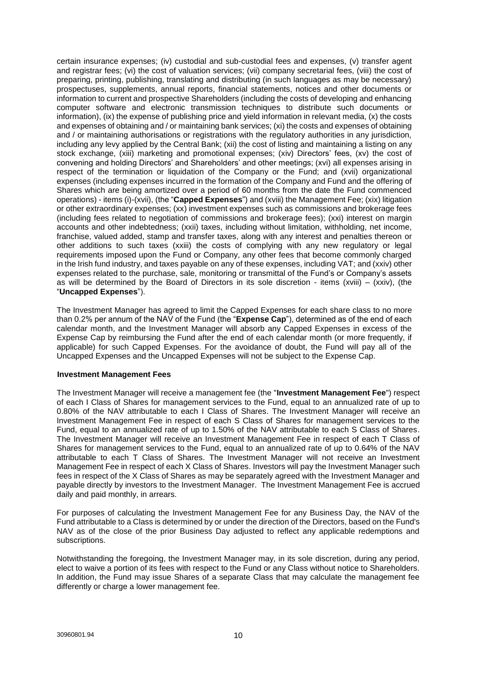certain insurance expenses; (iv) custodial and sub-custodial fees and expenses, (v) transfer agent and registrar fees; (vi) the cost of valuation services; (vii) company secretarial fees, (viii) the cost of preparing, printing, publishing, translating and distributing (in such languages as may be necessary) prospectuses, supplements, annual reports, financial statements, notices and other documents or information to current and prospective Shareholders (including the costs of developing and enhancing computer software and electronic transmission techniques to distribute such documents or information), (ix) the expense of publishing price and yield information in relevant media, (x) the costs and expenses of obtaining and / or maintaining bank services; (xi) the costs and expenses of obtaining and / or maintaining authorisations or registrations with the regulatory authorities in any jurisdiction, including any levy applied by the Central Bank; (xii) the cost of listing and maintaining a listing on any stock exchange, (xiii) marketing and promotional expenses; (xiv) Directors' fees, (xv) the cost of convening and holding Directors' and Shareholders' and other meetings; (xvi) all expenses arising in respect of the termination or liquidation of the Company or the Fund; and (xvii) organizational expenses (including expenses incurred in the formation of the Company and Fund and the offering of Shares which are being amortized over a period of 60 months from the date the Fund commenced operations) - items (i)-(xvii), (the "**Capped Expenses**") and (xviii) the Management Fee; (xix) litigation or other extraordinary expenses; (xx) investment expenses such as commissions and brokerage fees (including fees related to negotiation of commissions and brokerage fees); (xxi) interest on margin accounts and other indebtedness; (xxii) taxes, including without limitation, withholding, net income, franchise, valued added, stamp and transfer taxes, along with any interest and penalties thereon or other additions to such taxes (xxiii) the costs of complying with any new regulatory or legal requirements imposed upon the Fund or Company, any other fees that become commonly charged in the Irish fund industry, and taxes payable on any of these expenses, including VAT; and (xxiv) other expenses related to the purchase, sale, monitoring or transmittal of the Fund's or Company's assets as will be determined by the Board of Directors in its sole discretion - items (xviii) – (xxiv), (the "**Uncapped Expenses**").

The Investment Manager has agreed to limit the Capped Expenses for each share class to no more than 0.2% per annum of the NAV of the Fund (the "**Expense Cap**"), determined as of the end of each calendar month, and the Investment Manager will absorb any Capped Expenses in excess of the Expense Cap by reimbursing the Fund after the end of each calendar month (or more frequently, if applicable) for such Capped Expenses. For the avoidance of doubt, the Fund will pay all of the Uncapped Expenses and the Uncapped Expenses will not be subject to the Expense Cap.

#### **Investment Management Fees**

The Investment Manager will receive a management fee (the "**Investment Management Fee**") respect of each I Class of Shares for management services to the Fund, equal to an annualized rate of up to 0.80% of the NAV attributable to each I Class of Shares. The Investment Manager will receive an Investment Management Fee in respect of each S Class of Shares for management services to the Fund, equal to an annualized rate of up to 1.50% of the NAV attributable to each S Class of Shares. The Investment Manager will receive an Investment Management Fee in respect of each T Class of Shares for management services to the Fund, equal to an annualized rate of up to 0.64% of the NAV attributable to each T Class of Shares. The Investment Manager will not receive an Investment Management Fee in respect of each X Class of Shares. Investors will pay the Investment Manager such fees in respect of the X Class of Shares as may be separately agreed with the Investment Manager and payable directly by investors to the Investment Manager. The Investment Management Fee is accrued daily and paid monthly, in arrears.

For purposes of calculating the Investment Management Fee for any Business Day, the NAV of the Fund attributable to a Class is determined by or under the direction of the Directors, based on the Fund's NAV as of the close of the prior Business Day adjusted to reflect any applicable redemptions and subscriptions.

Notwithstanding the foregoing, the Investment Manager may, in its sole discretion, during any period, elect to waive a portion of its fees with respect to the Fund or any Class without notice to Shareholders. In addition, the Fund may issue Shares of a separate Class that may calculate the management fee differently or charge a lower management fee.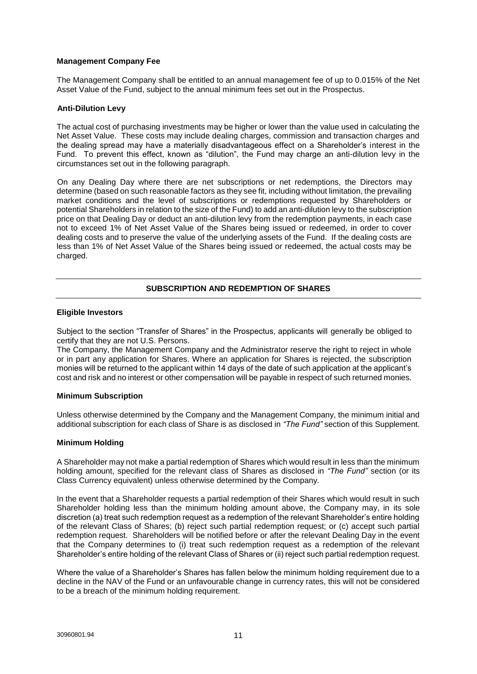#### **Management Company Fee**

The Management Company shall be entitled to an annual management fee of up to 0.015% of the Net Asset Value of the Fund, subject to the annual minimum fees set out in the Prospectus.

# **Anti-Dilution Levy**

The actual cost of purchasing investments may be higher or lower than the value used in calculating the Net Asset Value. These costs may include dealing charges, commission and transaction charges and the dealing spread may have a materially disadvantageous effect on a Shareholder's interest in the Fund. To prevent this effect, known as "dilution", the Fund may charge an anti-dilution levy in the circumstances set out in the following paragraph.

On any Dealing Day where there are net subscriptions or net redemptions, the Directors may determine (based on such reasonable factors as they see fit, including without limitation, the prevailing market conditions and the level of subscriptions or redemptions requested by Shareholders or potential Shareholders in relation to the size of the Fund) to add an anti-dilution levy to the subscription price on that Dealing Day or deduct an anti-dilution levy from the redemption payments, in each case not to exceed 1% of Net Asset Value of the Shares being issued or redeemed, in order to cover dealing costs and to preserve the value of the underlying assets of the Fund. If the dealing costs are less than 1% of Net Asset Value of the Shares being issued or redeemed, the actual costs may be charged.

# **SUBSCRIPTION AND REDEMPTION OF SHARES**

#### **Eligible Investors**

Subject to the section "Transfer of Shares" in the Prospectus, applicants will generally be obliged to certify that they are not U.S. Persons.

The Company, the Management Company and the Administrator reserve the right to reject in whole or in part any application for Shares. Where an application for Shares is rejected, the subscription monies will be returned to the applicant within 14 days of the date of such application at the applicant's cost and risk and no interest or other compensation will be payable in respect of such returned monies.

#### **Minimum Subscription**

Unless otherwise determined by the Company and the Management Company, the minimum initial and additional subscription for each class of Share is as disclosed in *"The Fund"* section of this Supplement.

#### **Minimum Holding**

A Shareholder may not make a partial redemption of Shares which would result in less than the minimum holding amount, specified for the relevant class of Shares as disclosed in *"The Fund"* section (or its Class Currency equivalent) unless otherwise determined by the Company.

In the event that a Shareholder requests a partial redemption of their Shares which would result in such Shareholder holding less than the minimum holding amount above, the Company may, in its sole discretion (a) treat such redemption request as a redemption of the relevant Shareholder's entire holding of the relevant Class of Shares; (b) reject such partial redemption request; or (c) accept such partial redemption request. Shareholders will be notified before or after the relevant Dealing Day in the event that the Company determines to (i) treat such redemption request as a redemption of the relevant Shareholder's entire holding of the relevant Class of Shares or (ii) reject such partial redemption request.

Where the value of a Shareholder's Shares has fallen below the minimum holding requirement due to a decline in the NAV of the Fund or an unfavourable change in currency rates, this will not be considered to be a breach of the minimum holding requirement.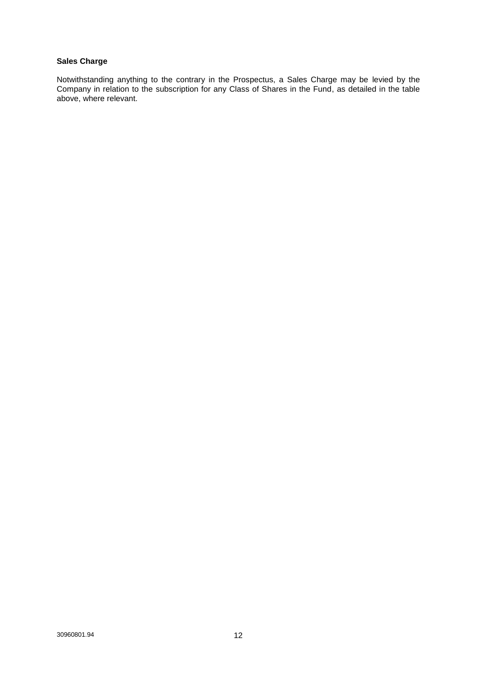# **Sales Charge**

Notwithstanding anything to the contrary in the Prospectus, a Sales Charge may be levied by the Company in relation to the subscription for any Class of Shares in the Fund, as detailed in the table above, where relevant.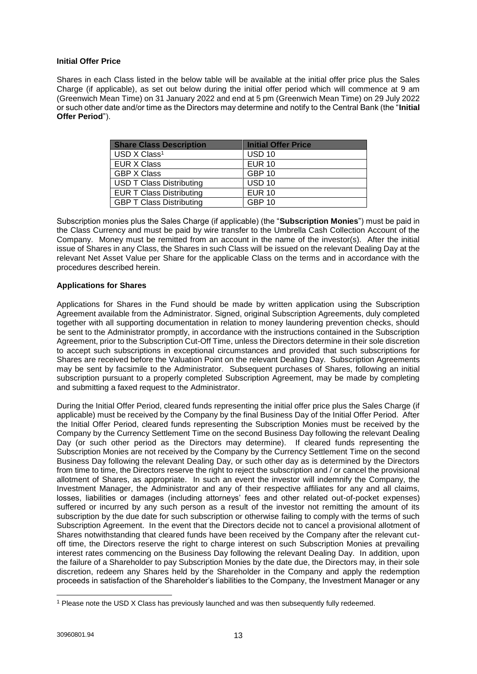# **Initial Offer Price**

Shares in each Class listed in the below table will be available at the initial offer price plus the Sales Charge (if applicable), as set out below during the initial offer period which will commence at 9 am (Greenwich Mean Time) on 31 January 2022 and end at 5 pm (Greenwich Mean Time) on 29 July 2022 or such other date and/or time as the Directors may determine and notify to the Central Bank (the "**Initial Offer Period**").

| <b>Share Class Description</b>  | <b>Initial Offer Price</b> |
|---------------------------------|----------------------------|
| USD X Class <sup>1</sup>        | <b>USD 10</b>              |
| <b>EUR X Class</b>              | <b>EUR 10</b>              |
| <b>GBP X Class</b>              | <b>GBP 10</b>              |
| <b>USD T Class Distributing</b> | <b>USD 10</b>              |
| <b>EUR T Class Distributing</b> | <b>EUR 10</b>              |
| <b>GBP T Class Distributing</b> | <b>GBP 10</b>              |

Subscription monies plus the Sales Charge (if applicable) (the "**Subscription Monies**") must be paid in the Class Currency and must be paid by wire transfer to the Umbrella Cash Collection Account of the Company. Money must be remitted from an account in the name of the investor(s). After the initial issue of Shares in any Class, the Shares in such Class will be issued on the relevant Dealing Day at the relevant Net Asset Value per Share for the applicable Class on the terms and in accordance with the procedures described herein.

# **Applications for Shares**

Applications for Shares in the Fund should be made by written application using the Subscription Agreement available from the Administrator. Signed, original Subscription Agreements, duly completed together with all supporting documentation in relation to money laundering prevention checks, should be sent to the Administrator promptly, in accordance with the instructions contained in the Subscription Agreement, prior to the Subscription Cut-Off Time, unless the Directors determine in their sole discretion to accept such subscriptions in exceptional circumstances and provided that such subscriptions for Shares are received before the Valuation Point on the relevant Dealing Day. Subscription Agreements may be sent by facsimile to the Administrator. Subsequent purchases of Shares, following an initial subscription pursuant to a properly completed Subscription Agreement, may be made by completing and submitting a faxed request to the Administrator.

During the Initial Offer Period, cleared funds representing the initial offer price plus the Sales Charge (if applicable) must be received by the Company by the final Business Day of the Initial Offer Period. After the Initial Offer Period, cleared funds representing the Subscription Monies must be received by the Company by the Currency Settlement Time on the second Business Day following the relevant Dealing Day (or such other period as the Directors may determine). If cleared funds representing the Subscription Monies are not received by the Company by the Currency Settlement Time on the second Business Day following the relevant Dealing Day, or such other day as is determined by the Directors from time to time, the Directors reserve the right to reject the subscription and / or cancel the provisional allotment of Shares, as appropriate. In such an event the investor will indemnify the Company, the Investment Manager, the Administrator and any of their respective affiliates for any and all claims, losses, liabilities or damages (including attorneys' fees and other related out-of-pocket expenses) suffered or incurred by any such person as a result of the investor not remitting the amount of its subscription by the due date for such subscription or otherwise failing to comply with the terms of such Subscription Agreement. In the event that the Directors decide not to cancel a provisional allotment of Shares notwithstanding that cleared funds have been received by the Company after the relevant cutoff time, the Directors reserve the right to charge interest on such Subscription Monies at prevailing interest rates commencing on the Business Day following the relevant Dealing Day. In addition, upon the failure of a Shareholder to pay Subscription Monies by the date due, the Directors may, in their sole discretion, redeem any Shares held by the Shareholder in the Company and apply the redemption proceeds in satisfaction of the Shareholder's liabilities to the Company, the Investment Manager or any

l

<sup>1</sup> Please note the USD X Class has previously launched and was then subsequently fully redeemed.